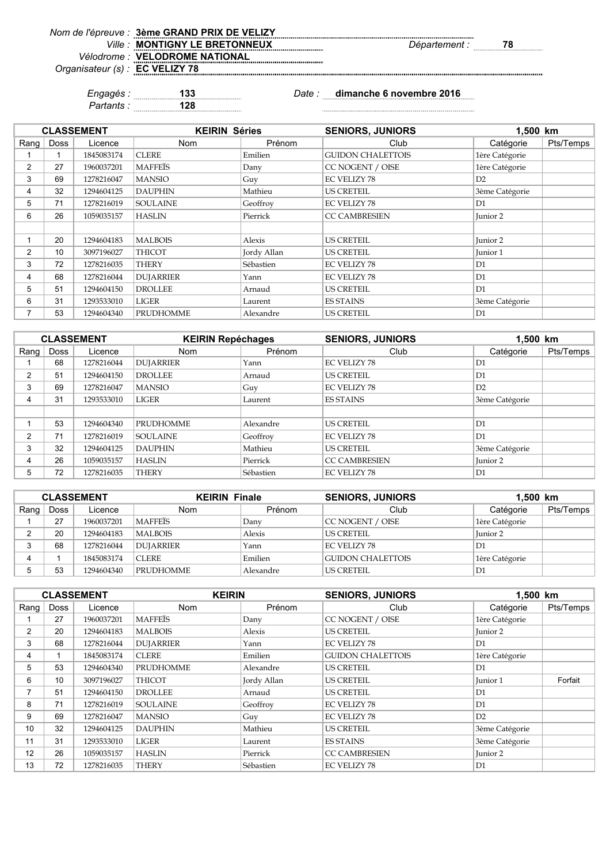|                                 | Nom de l'épreuve : 3ème GRAND PRIX DE VELIZY |               |    |
|---------------------------------|----------------------------------------------|---------------|----|
| Ville                           | : MONTIGNY LE BRETONNEUX                     | Département : | 78 |
|                                 | Vélodrome : VELODROME NATIONAL               |               |    |
| Organisateur (s) : EC VELIZY 78 |                                              |               |    |
|                                 |                                              |               |    |

*Partants :* **128**

*Engagés :* **133** *Date :* **dimanche 6 novembre 2016** 

|                |             | <b>CLASSEMENT</b> | <b>KEIRIN Séries</b> |             | <b>SENIORS, JUNIORS</b>  | 1.500 km       |           |
|----------------|-------------|-------------------|----------------------|-------------|--------------------------|----------------|-----------|
| Rang           | <b>Doss</b> | Licence           | <b>Nom</b>           | Prénom      | Club                     | Catégorie      | Pts/Temps |
|                |             | 1845083174        | <b>CLERE</b>         | Emilien     | <b>GUIDON CHALETTOIS</b> | 1ère Catégorie |           |
| $\overline{2}$ | 27          | 1960037201        | <b>MAFFEIS</b>       | Dany        | CC NOGENT / OISE         | 1ère Catégorie |           |
| 3              | 69          | 1278216047        | <b>MANSIO</b>        | Guy         | <b>EC VELIZY 78</b>      | D2             |           |
| 4              | 32          | 1294604125        | <b>DAUPHIN</b>       | Mathieu     | <b>US CRETEIL</b>        | 3ème Catégorie |           |
| 5              | 71          | 1278216019        | <b>SOULAINE</b>      | Geoffroy    | <b>EC VELIZY 78</b>      | D1             |           |
| 6              | 26          | 1059035157        | <b>HASLIN</b>        | Pierrick    | <b>CC CAMBRESIEN</b>     | Junior 2       |           |
|                |             |                   |                      |             |                          |                |           |
|                | 20          | 1294604183        | <b>MALBOIS</b>       | Alexis      | <b>US CRETEIL</b>        | Junior 2       |           |
| 2              | 10          | 3097196027        | <b>THICOT</b>        | Jordy Allan | <b>US CRETEIL</b>        | Junior 1       |           |
| 3              | 72          | 1278216035        | <b>THERY</b>         | Sébastien   | <b>EC VELIZY 78</b>      | D1             |           |
| 4              | 68          | 1278216044        | <b>DUJARRIER</b>     | Yann        | <b>EC VELIZY 78</b>      | D1             |           |
| 5              | 51          | 1294604150        | <b>DROLLEE</b>       | Arnaud      | <b>US CRETEIL</b>        | D1             |           |
| 6              | 31          | 1293533010        | LIGER                | Laurent     | <b>ES STAINS</b>         | 3ème Catégorie |           |
| 7              | 53          | 1294604340        | <b>PRUDHOMME</b>     | Alexandre   | <b>US CRETEIL</b>        | D1             |           |

|      |      | <b>CLASSEMENT</b> | <b>KEIRIN Repéchages</b> |           | <b>SENIORS, JUNIORS</b> | 1.500 km            |           |
|------|------|-------------------|--------------------------|-----------|-------------------------|---------------------|-----------|
| Rang | Doss | Licence           | <b>Nom</b>               | Prénom    | Club                    | Catégorie           | Pts/Temps |
|      | 68   | 1278216044        | <b>DUJARRIER</b>         | Yann      | <b>EC VELIZY 78</b>     | D1                  |           |
| 2    | 51   | 1294604150        | <b>DROLLEE</b>           | Arnaud    | <b>US CRETEIL</b>       | D1                  |           |
| 3    | 69   | 1278216047        | <b>MANSIO</b>            | Guy       | <b>EC VELIZY 78</b>     | D2                  |           |
| 4    | 31   | 1293533010        | <b>LIGER</b>             | Laurent   | <b>ES STAINS</b>        | 3ème Catégorie      |           |
|      |      |                   |                          |           |                         |                     |           |
|      | 53   | 1294604340        | <b>PRUDHOMME</b>         | Alexandre | US CRETEIL              | D1                  |           |
| 2    | 71   | 1278216019        | <b>SOULAINE</b>          | Geoffroy  | <b>EC VELIZY 78</b>     | D1                  |           |
| 3    | 32   | 1294604125        | <b>DAUPHIN</b>           | Mathieu   | <b>US CRETEIL</b>       | 3ème Catégorie      |           |
| 4    | 26   | 1059035157        | <b>HASLIN</b>            | Pierrick  | <b>CC CAMBRESIEN</b>    | Iunior <sub>2</sub> |           |
| 5    | 72   | 1278216035        | <b>THERY</b>             | Sébastien | <b>EC VELIZY 78</b>     | D1                  |           |

| <b>CLASSEMENT</b> |      |            | <b>KEIRIN Finale</b> |           | <b>SENIORS, JUNIORS</b>  | 1,500 km       |           |
|-------------------|------|------------|----------------------|-----------|--------------------------|----------------|-----------|
| Rang              | Doss | Licence    | <b>Nom</b>           | Prénom    | Club                     | Catégorie      | Pts/Temps |
|                   | 27   | 1960037201 | <b>MAFFEIS</b>       | Dany      | CC NOGENT / OISE         | 1ère Catégorie |           |
|                   | 20   | 1294604183 | <b>MALBOIS</b>       | Alexis    | US CRETEIL               | Iunior 2       |           |
|                   | 68   | 1278216044 | <b>DUJARRIER</b>     | Yann      | EC VELIZY 78             | D <sub>1</sub> |           |
|                   |      | 1845083174 | <b>CLERE</b>         | Emilien   | <b>GUIDON CHALETTOIS</b> | 1ère Catégorie |           |
|                   | 53   | 1294604340 | <b>PRUDHOMME</b>     | Alexandre | <b>US CRETEIL</b>        | D <sub>1</sub> |           |

|                |             | <b>CLASSEMENT</b> | <b>KEIRIN</b>    |             | <b>SENIORS, JUNIORS</b>  | 1,500 km       |           |
|----------------|-------------|-------------------|------------------|-------------|--------------------------|----------------|-----------|
| Rang $ $       | <b>Doss</b> | Licence           | <b>Nom</b>       | Prénom      | Club                     | Catégorie      | Pts/Temps |
|                | 27          | 1960037201        | <b>MAFFEIS</b>   | Dany        | CC NOGENT / OISE         | 1ère Catégorie |           |
| $\overline{2}$ | 20          | 1294604183        | <b>MALBOIS</b>   | Alexis      | <b>US CRETEIL</b>        | Junior 2       |           |
| 3              | 68          | 1278216044        | <b>DUJARRIER</b> | Yann        | <b>EC VELIZY 78</b>      | D1             |           |
| 4              |             | 1845083174        | <b>CLERE</b>     | Emilien     | <b>GUIDON CHALETTOIS</b> | 1ère Catégorie |           |
| 5              | 53          | 1294604340        | <b>PRUDHOMME</b> | Alexandre   | <b>US CRETEIL</b>        | D1             |           |
| 6              | 10          | 3097196027        | <b>THICOT</b>    | Jordy Allan | <b>US CRETEIL</b>        | Junior 1       | Forfait   |
| $\overline{7}$ | 51          | 1294604150        | <b>DROLLEE</b>   | Arnaud      | <b>US CRETEIL</b>        | D1             |           |
| 8              | 71          | 1278216019        | <b>SOULAINE</b>  | Geoffroy    | <b>EC VELIZY 78</b>      | D <sub>1</sub> |           |
| 9              | 69          | 1278216047        | <b>MANSIO</b>    | Guy         | <b>EC VELIZY 78</b>      | D2             |           |
| 10             | 32          | 1294604125        | <b>DAUPHIN</b>   | Mathieu     | <b>US CRETEIL</b>        | 3ème Catégorie |           |
| 11             | 31          | 1293533010        | LIGER            | Laurent     | <b>ES STAINS</b>         | 3ème Catégorie |           |
| 12             | 26          | 1059035157        | <b>HASLIN</b>    | Pierrick    | <b>CC CAMBRESIEN</b>     | Junior 2       |           |
| 13             | 72          | 1278216035        | <b>THERY</b>     | Sébastien   | <b>EC VELIZY 78</b>      | D1             |           |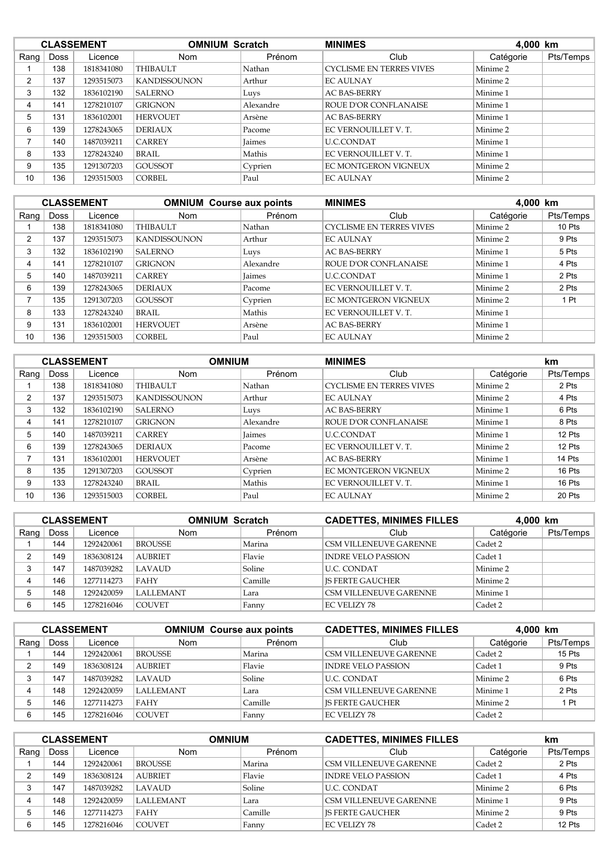|          | <b>CLASSEMENT</b> |            | <b>OMNIUM Scratch</b> |               | <b>MINIMES</b>                  |           | 4,000 km  |  |
|----------|-------------------|------------|-----------------------|---------------|---------------------------------|-----------|-----------|--|
| Rang $ $ | Doss              | Licence    | <b>Nom</b>            | Prénom        | Club                            | Catégorie | Pts/Temps |  |
|          | 138               | 1818341080 | <b>THIBAULT</b>       | Nathan        | <b>CYCLISME EN TERRES VIVES</b> | Minime 2  |           |  |
| 2        | 137               | 1293515073 | <b>KANDISSOUNON</b>   | Arthur        | <b>EC AULNAY</b>                | Minime 2  |           |  |
| 3        | 132               | 1836102190 | <b>SALERNO</b>        | Luys          | <b>AC BAS-BERRY</b>             | Minime 1  |           |  |
| 4        | 141               | 1278210107 | <b>GRIGNON</b>        | Alexandre     | ROUE D'OR CONFLANAISE           | Minime 1  |           |  |
| 5        | 131               | 1836102001 | <b>HERVOUET</b>       | Arsène        | <b>AC BAS-BERRY</b>             | Minime 1  |           |  |
| 6        | 139               | 1278243065 | <b>DERIAUX</b>        | Pacome        | EC VERNOUILLET V. T.            | Minime 2  |           |  |
|          | 140               | 1487039211 | <b>CARREY</b>         | <b>Jaimes</b> | <b>U.C.CONDAT</b>               | Minime 1  |           |  |
| 8        | 133               | 1278243240 | BRAIL                 | Mathis        | EC VERNOUILLET V. T.            | Minime 1  |           |  |
| 9        | 135               | 1291307203 | <b>GOUSSOT</b>        | Cyprien       | <b>EC MONTGERON VIGNEUX</b>     | Minime 2  |           |  |
| 10       | 136               | 1293515003 | <b>CORBEL</b>         | Paul          | <b>EC AULNAY</b>                | Minime 2  |           |  |

|      | <b>CLASSEMENT</b> |            | <b>OMNIUM Course aux points</b> |               | <b>MINIMES</b><br>4,000 km      |           |           |
|------|-------------------|------------|---------------------------------|---------------|---------------------------------|-----------|-----------|
| Rang | <b>Doss</b>       | Licence    | <b>Nom</b>                      | Prénom        | Club                            | Catégorie | Pts/Temps |
|      | 138               | 1818341080 | <b>THIBAULT</b>                 | Nathan        | <b>CYCLISME EN TERRES VIVES</b> | Minime 2  | 10 Pts    |
| 2    | 137               | 1293515073 | <b>KANDISSOUNON</b>             | Arthur        | <b>EC AULNAY</b>                | Minime 2  | 9 Pts     |
| 3    | 132               | 1836102190 | <b>SALERNO</b>                  | Luys          | <b>AC BAS-BERRY</b>             | Minime 1  | 5 Pts     |
| 4    | 141               | 1278210107 | <b>GRIGNON</b>                  | Alexandre     | <b>ROUE D'OR CONFLANAISE</b>    | Minime 1  | 4 Pts     |
| 5    | 140               | 1487039211 | <b>CARREY</b>                   | Jaimes        | <b>U.C.CONDAT</b>               | Minime 1  | 2 Pts     |
| 6    | 139               | 1278243065 | <b>DERIAUX</b>                  | <i>Pacome</i> | EC VERNOUILLET V. T.            | Minime 2  | 2 Pts     |
| ⇁    | 135               | 1291307203 | <b>GOUSSOT</b>                  | Cyprien       | <b>EC MONTGERON VIGNEUX</b>     | Minime 2  | 1 Pt      |
| 8    | 133               | 1278243240 | BRAIL                           | Mathis        | EC VERNOUILLET V. T.            | Minime 1  |           |
| 9    | 131               | 1836102001 | <b>HERVOUET</b>                 | Arsène        | <b>AC BAS-BERRY</b>             | Minime 1  |           |
| 10   | 136               | 1293515003 | <b>CORBEL</b>                   | Paul          | <b>EC AULNAY</b>                | Minime 2  |           |

|                | <b>CLASSEMENT</b> |            | <b>OMNIUM</b>       |               | <b>MINIMES</b>                  |           | km        |  |
|----------------|-------------------|------------|---------------------|---------------|---------------------------------|-----------|-----------|--|
| Rang $ $       | <b>Doss</b>       | Licence    | <b>Nom</b>          | Prénom        | Club                            | Catégorie | Pts/Temps |  |
|                | 138               | 1818341080 | <b>THIBAULT</b>     | Nathan        | <b>CYCLISME EN TERRES VIVES</b> | Minime 2  | 2 Pts     |  |
| $\overline{2}$ | 137               | 1293515073 | <b>KANDISSOUNON</b> | Arthur        | <b>EC AULNAY</b>                | Minime 2  | 4 Pts     |  |
| 3              | 132               | 1836102190 | <b>SALERNO</b>      | Luys          | <b>AC BAS-BERRY</b>             | Minime 1  | 6 Pts     |  |
| 4              | 141               | 1278210107 | <b>GRIGNON</b>      | Alexandre     | ROUE D'OR CONFLANAISE           | Minime 1  | 8 Pts     |  |
| 5              | 140               | 1487039211 | <b>CARREY</b>       | <b>Jaimes</b> | <b>U.C.CONDAT</b>               | Minime 1  | 12 Pts    |  |
| 6              | 139               | 1278243065 | <b>DERIAUX</b>      | Pacome        | EC VERNOUILLET V.T.             | Minime 2  | 12 Pts    |  |
|                | 131               | 1836102001 | <b>HERVOUET</b>     | Arsène        | <b>AC BAS-BERRY</b>             | Minime 1  | 14 Pts    |  |
| 8              | 135               | 1291307203 | <b>GOUSSOT</b>      | Cyprien       | <b>EC MONTGERON VIGNEUX</b>     | Minime 2  | 16 Pts    |  |
| 9              | 133               | 1278243240 | BRAIL               | Mathis        | EC VERNOUILLET V.T.             | Minime 1  | 16 Pts    |  |
| 10             | 136               | 1293515003 | <b>CORBEL</b>       | Paul          | <b>EC AULNAY</b>                | Minime 2  | 20 Pts    |  |

| <b>CLASSEMENT</b> |      |            | <b>OMNIUM Scratch</b> |         | <b>CADETTES, MINIMES FILLES</b> | 4.000 km  |           |
|-------------------|------|------------|-----------------------|---------|---------------------------------|-----------|-----------|
| Rang              | Doss | Licence    | Nom                   | Prénom  | Club                            | Catégorie | Pts/Temps |
|                   | 144  | 1292420061 | <b>BROUSSE</b>        | Marina  | <b>CSM VILLENEUVE GARENNE</b>   | Cadet 2   |           |
|                   | 149  | 1836308124 | <b>AUBRIET</b>        | Flavie  | <b>INDRE VELO PASSION</b>       | Cadet 1   |           |
|                   | 147  | 1487039282 | LAVAUD                | Soline  | <b>U.C. CONDAT</b>              | Minime 2  |           |
| 4                 | 146  | 1277114273 | FAHY                  | Camille | <b>IS FERTE GAUCHER</b>         | Minime 2  |           |
|                   | 148  | 1292420059 | <b>LALLEMANT</b>      | Lara    | CSM VILLENEUVE GARENNE          | Minime 1  |           |
|                   | 145  | 1278216046 | <b>COUVET</b>         | Fanny   | <b>EC VELIZY 78</b>             | Cadet 2   |           |

| <b>CLASSEMENT</b> |             |            | <b>OMNIUM</b> Course aux points |         | <b>CADETTES, MINIMES FILLES</b> | 4.000 km  |           |
|-------------------|-------------|------------|---------------------------------|---------|---------------------------------|-----------|-----------|
| Rang              | <b>Doss</b> | Licence    | <b>Nom</b>                      | Prénom  | Club                            | Catégorie | Pts/Temps |
|                   | 144         | 1292420061 | <b>BROUSSE</b>                  | Marina  | CSM VILLENEUVE GARENNE          | Cadet 2   | 15 Pts    |
| $\mathcal{P}$     | 149         | 1836308124 | <b>AUBRIET</b>                  | Flavie  | <b>INDRE VELO PASSION</b>       | Cadet 1   | 9 Pts     |
| 3                 | 147         | 1487039282 | LAVAUD                          | Soline  | U.C. CONDAT                     | Minime 2  | 6 Pts     |
| 4                 | 148         | 1292420059 | <b>LALLEMANT</b>                | Lara    | CSM VILLENEUVE GARENNE          | Minime 1  | 2 Pts     |
| 5                 | 146         | 1277114273 | FAHY                            | Camille | <b>IS FERTE GAUCHER</b>         | Minime 2  | 1 Pt      |
| 6                 | 145         | 1278216046 | <b>COUVET</b>                   | Fanny   | <b>EC VELIZY 78</b>             | Cadet 2   |           |

| <b>CLASSEMENT</b> |      |            | <b>OMNIUM</b>    |         | <b>CADETTES, MINIMES FILLES</b> |           | km        |
|-------------------|------|------------|------------------|---------|---------------------------------|-----------|-----------|
| Rang              | Doss | Licence    | <b>Nom</b>       | Prénom  | Club                            | Catégorie | Pts/Temps |
|                   | 144  | 1292420061 | <b>BROUSSE</b>   | Marina  | <b>CSM VILLENEUVE GARENNE</b>   | Cadet 2   | 2 Pts     |
| ົ                 | 149  | 1836308124 | <b>AUBRIET</b>   | Flavie  | <b>INDRE VELO PASSION</b>       | Cadet 1   | 4 Pts     |
|                   | 147  | 1487039282 | <b>LAVAUD</b>    | Soline  | U.C. CONDAT                     | Minime 2  | 6 Pts     |
| 4                 | 148  | 1292420059 | <b>LALLEMANT</b> | Lara    | <b>CSM VILLENEUVE GARENNE</b>   | Minime 1  | 9 Pts     |
|                   | 146  | 1277114273 | <b>FAHY</b>      | Camille | <b>IS FERTE GAUCHER</b>         | Minime 2  | 9 Pts     |
| 6                 | 145  | 1278216046 | <b>COUVET</b>    | Fanny   | EC VELIZY 78                    | Cadet 2   | 12 Pts    |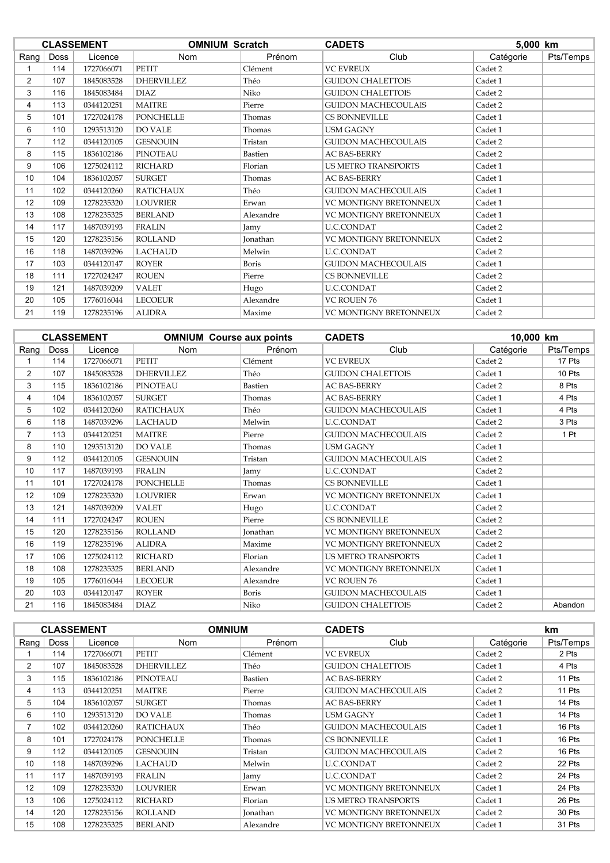|                |      | <b>CLASSEMENT</b> | <b>OMNIUM Scratch</b> |                 | <b>CADETS</b>                 | 5,000 km  |           |
|----------------|------|-------------------|-----------------------|-----------------|-------------------------------|-----------|-----------|
| Rang           | Doss | Licence           | <b>Nom</b>            | Prénom          | Club                          | Catégorie | Pts/Temps |
|                | 114  | 1727066071        | <b>PETIT</b>          | Clément         | <b>VC EVREUX</b>              | Cadet 2   |           |
| $\overline{2}$ | 107  | 1845083528        | <b>DHERVILLEZ</b>     | Théo            | <b>GUIDON CHALETTOIS</b>      | Cadet 1   |           |
| 3              | 116  | 1845083484        | <b>DIAZ</b>           | Niko            | <b>GUIDON CHALETTOIS</b>      | Cadet 2   |           |
| 4              | 113  | 0344120251        | <b>MAITRE</b>         | Pierre          | <b>GUIDON MACHECOULAIS</b>    | Cadet 2   |           |
| 5              | 101  | 1727024178        | <b>PONCHELLE</b>      | Thomas          | <b>CS BONNEVILLE</b>          | Cadet 1   |           |
| 6              | 110  | 1293513120        | <b>DO VALE</b>        | Thomas          | <b>USM GAGNY</b>              | Cadet 1   |           |
| $\overline{7}$ | 112  | 0344120105        | <b>GESNOUIN</b>       | Tristan         | <b>GUIDON MACHECOULAIS</b>    | Cadet 2   |           |
| 8              | 115  | 1836102186        | <b>PINOTEAU</b>       | Bastien         | <b>AC BAS-BERRY</b>           | Cadet 2   |           |
| 9              | 106  | 1275024112        | <b>RICHARD</b>        | Florian         | <b>US METRO TRANSPORTS</b>    | Cadet 1   |           |
| 10             | 104  | 1836102057        | <b>SURGET</b>         | Thomas          | <b>AC BAS-BERRY</b>           | Cadet 1   |           |
| 11             | 102  | 0344120260        | <b>RATICHAUX</b>      | Théo            | <b>GUIDON MACHECOULAIS</b>    | Cadet 1   |           |
| 12             | 109  | 1278235320        | <b>LOUVRIER</b>       | Erwan           | <b>VC MONTIGNY BRETONNEUX</b> | Cadet 1   |           |
| 13             | 108  | 1278235325        | <b>BERLAND</b>        | Alexandre       | VC MONTIGNY BRETONNEUX        | Cadet 1   |           |
| 14             | 117  | 1487039193        | <b>FRALIN</b>         | Jamy            | <b>U.C.CONDAT</b>             | Cadet 2   |           |
| 15             | 120  | 1278235156        | <b>ROLLAND</b>        | <b>Jonathan</b> | VC MONTIGNY BRETONNEUX        | Cadet 2   |           |
| 16             | 118  | 1487039296        | <b>LACHAUD</b>        | Melwin          | <b>U.C.CONDAT</b>             | Cadet 2   |           |
| 17             | 103  | 0344120147        | <b>ROYER</b>          | Boris           | <b>GUIDON MACHECOULAIS</b>    | Cadet 1   |           |
| 18             | 111  | 1727024247        | <b>ROUEN</b>          | Pierre          | <b>CS BONNEVILLE</b>          | Cadet 2   |           |
| 19             | 121  | 1487039209        | <b>VALET</b>          | Hugo            | <b>U.C.CONDAT</b>             | Cadet 2   |           |
| 20             | 105  | 1776016044        | <b>LECOEUR</b>        | Alexandre       | <b>VC ROUEN 76</b>            | Cadet 1   |           |
| 21             | 119  | 1278235196        | <b>ALIDRA</b>         | Maxime          | VC MONTIGNY BRETONNEUX        | Cadet 2   |           |

|                 |      | <b>CLASSEMENT</b> | <b>OMNIUM</b> Course aux points |                 | 10,000 km<br><b>CADETS</b>    |           |           |
|-----------------|------|-------------------|---------------------------------|-----------------|-------------------------------|-----------|-----------|
| Rang $ $        | Doss | Licence           | <b>Nom</b>                      | Prénom          | Club                          | Catégorie | Pts/Temps |
|                 | 114  | 1727066071        | <b>PETIT</b>                    | Clément         | <b>VC EVREUX</b>              | Cadet 2   | 17 Pts    |
| $\overline{2}$  | 107  | 1845083528        | <b>DHERVILLEZ</b>               | Théo            | <b>GUIDON CHALETTOIS</b>      | Cadet 1   | 10 Pts    |
| 3               | 115  | 1836102186        | <b>PINOTEAU</b>                 | <b>Bastien</b>  | <b>AC BAS-BERRY</b>           | Cadet 2   | 8 Pts     |
| 4               | 104  | 1836102057        | <b>SURGET</b>                   | Thomas          | <b>AC BAS-BERRY</b>           | Cadet 1   | 4 Pts     |
| 5               | 102  | 0344120260        | <b>RATICHAUX</b>                | Théo            | <b>GUIDON MACHECOULAIS</b>    | Cadet 1   | 4 Pts     |
| 6               | 118  | 1487039296        | <b>LACHAUD</b>                  | Melwin          | <b>U.C.CONDAT</b>             | Cadet 2   | 3 Pts     |
| $\overline{7}$  | 113  | 0344120251        | <b>MAITRE</b>                   | Pierre          | <b>GUIDON MACHECOULAIS</b>    | Cadet 2   | 1 Pt      |
| 8               | 110  | 1293513120        | <b>DO VALE</b>                  | Thomas          | <b>USM GAGNY</b>              | Cadet 1   |           |
| 9               | 112  | 0344120105        | <b>GESNOUIN</b>                 | Tristan         | <b>GUIDON MACHECOULAIS</b>    | Cadet 2   |           |
| 10 <sup>°</sup> | 117  | 1487039193        | <b>FRALIN</b>                   | Jamy            | <b>U.C.CONDAT</b>             | Cadet 2   |           |
| 11              | 101  | 1727024178        | <b>PONCHELLE</b>                | Thomas          | <b>CS BONNEVILLE</b>          | Cadet 1   |           |
| 12              | 109  | 1278235320        | <b>LOUVRIER</b>                 | Erwan           | <b>VC MONTIGNY BRETONNEUX</b> | Cadet 1   |           |
| 13              | 121  | 1487039209        | <b>VALET</b>                    | Hugo            | <b>U.C.CONDAT</b>             | Cadet 2   |           |
| 14              | 111  | 1727024247        | <b>ROUEN</b>                    | Pierre          | <b>CS BONNEVILLE</b>          | Cadet 2   |           |
| 15              | 120  | 1278235156        | <b>ROLLAND</b>                  | <b>Jonathan</b> | <b>VC MONTIGNY BRETONNEUX</b> | Cadet 2   |           |
| 16              | 119  | 1278235196        | <b>ALIDRA</b>                   | Maxime          | VC MONTIGNY BRETONNEUX        | Cadet 2   |           |
| 17              | 106  | 1275024112        | <b>RICHARD</b>                  | Florian         | <b>US METRO TRANSPORTS</b>    | Cadet 1   |           |
| 18              | 108  | 1278235325        | <b>BERLAND</b>                  | Alexandre       | <b>VC MONTIGNY BRETONNEUX</b> | Cadet 1   |           |
| 19              | 105  | 1776016044        | <b>LECOEUR</b>                  | Alexandre       | <b>VC ROUEN 76</b>            | Cadet 1   |           |
| 20              | 103  | 0344120147        | <b>ROYER</b>                    | Boris           | <b>GUIDON MACHECOULAIS</b>    | Cadet 1   |           |
| 21              | 116  | 1845083484        | <b>DIAZ</b>                     | Niko            | <b>GUIDON CHALETTOIS</b>      | Cadet 2   | Abandon   |

|                |             | <b>CLASSEMENT</b> | <b>OMNIUM</b>    |                | <b>CADETS</b>                 |           | <b>km</b> |
|----------------|-------------|-------------------|------------------|----------------|-------------------------------|-----------|-----------|
| Rang           | <b>Doss</b> | Licence           | <b>Nom</b>       | Prénom         | Club                          | Catégorie | Pts/Temps |
|                | 114         | 1727066071        | <b>PETIT</b>     | Clément        | <b>VC EVREUX</b>              | Cadet 2   | 2 Pts     |
| $\overline{2}$ | 107         | 1845083528        | DHERVILLEZ       | Théo           | <b>GUIDON CHALETTOIS</b>      | Cadet 1   | 4 Pts     |
| 3              | 115         | 1836102186        | PINOTEAU         | <b>Bastien</b> | <b>AC BAS-BERRY</b>           | Cadet 2   | 11 Pts    |
| 4              | 113         | 0344120251        | <b>MAITRE</b>    | Pierre         | <b>GUIDON MACHECOULAIS</b>    | Cadet 2   | 11 Pts    |
| 5              | 104         | 1836102057        | <b>SURGET</b>    | Thomas         | <b>AC BAS-BERRY</b>           | Cadet 1   | 14 Pts    |
| 6              | 110         | 1293513120        | DO VALE          | Thomas         | <b>USM GAGNY</b>              | Cadet 1   | 14 Pts    |
| 7              | 102         | 0344120260        | <b>RATICHAUX</b> | Théo           | <b>GUIDON MACHECOULAIS</b>    | Cadet 1   | 16 Pts    |
| 8              | 101         | 1727024178        | PONCHELLE        | Thomas         | <b>CS BONNEVILLE</b>          | Cadet 1   | 16 Pts    |
| 9              | 112         | 0344120105        | <b>GESNOUIN</b>  | Tristan        | <b>GUIDON MACHECOULAIS</b>    | Cadet 2   | 16 Pts    |
| 10             | 118         | 1487039296        | LACHAUD          | Melwin         | <b>U.C.CONDAT</b>             | Cadet 2   | 22 Pts    |
| 11             | 117         | 1487039193        | <b>FRALIN</b>    | Jamy           | <b>U.C.CONDAT</b>             | Cadet 2   | 24 Pts    |
| 12             | 109         | 1278235320        | <b>LOUVRIER</b>  | Erwan          | <b>VC MONTIGNY BRETONNEUX</b> | Cadet 1   | 24 Pts    |
| 13             | 106         | 1275024112        | RICHARD          | Florian        | <b>US METRO TRANSPORTS</b>    | Cadet 1   | 26 Pts    |
| 14             | 120         | 1278235156        | <b>ROLLAND</b>   | Jonathan       | VC MONTIGNY BRETONNEUX        | Cadet 2   | 30 Pts    |
| 15             | 108         | 1278235325        | <b>BERLAND</b>   | Alexandre      | <b>VC MONTIGNY BRETONNEUX</b> | Cadet 1   | 31 Pts    |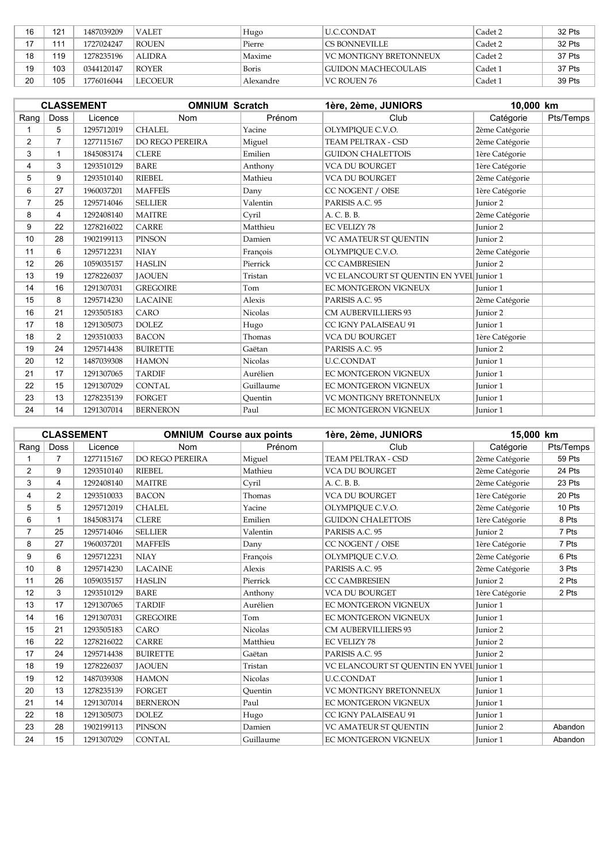| 16             | 121 | 1487039209 | VALET          | Hugo      | U.C.CONDAT                 | Cadet 2 | 32 Pts |
|----------------|-----|------------|----------------|-----------|----------------------------|---------|--------|
| $\overline{z}$ | 111 | 1727024247 | <b>ROUEN</b>   | Pierre    | I CS BONNEVILLE.           | Cadet 2 | 32 Pts |
| 18             | 119 | 1278235196 | <b>ALIDRA</b>  | Maxime    | VC MONTIGNY BRETONNEUX     | Cadet 2 | 37 Pts |
| 19             | 103 | 0344120147 | ROYER          | Boris     | <b>CUIDON MACHECOULAIS</b> | Cadet 1 | 37 Pts |
| 20             | 105 | 1776016044 | <b>LECOEUR</b> | Alexandre | VC ROUEN 76                | Cadet 1 | 39 Pts |

|                 |                | <b>CLASSEMENT</b> | <b>OMNIUM Scratch</b> |                | 1ère, 2ème, JUNIORS                      | 10,000 km           |           |
|-----------------|----------------|-------------------|-----------------------|----------------|------------------------------------------|---------------------|-----------|
| Rang            | Doss           | Licence           | Nom                   | Prénom         | Club                                     | Catégorie           | Pts/Temps |
|                 | 5              | 1295712019        | <b>CHALEL</b>         | Yacine         | OLYMPIQUE C.V.O.                         | 2ème Catégorie      |           |
| 2               | $\overline{7}$ | 1277115167        | DO REGO PEREIRA       | Miguel         | TEAM PELTRAX - CSD                       | 2ème Catégorie      |           |
| 3               | 1              | 1845083174        | <b>CLERE</b>          | Emilien        | <b>GUIDON CHALETTOIS</b>                 | 1ère Catégorie      |           |
| 4               | 3              | 1293510129        | <b>BARE</b>           | Anthony        | <b>VCA DU BOURGET</b>                    | 1ère Catégorie      |           |
| 5               | 9              | 1293510140        | <b>RIEBEL</b>         | Mathieu        | <b>VCA DU BOURGET</b>                    | 2ème Catégorie      |           |
| 6               | 27             | 1960037201        | <b>MAFFEÏS</b>        | Dany           | CC NOGENT / OISE                         | 1ère Catégorie      |           |
| $\overline{7}$  | 25             | 1295714046        | <b>SELLIER</b>        | Valentin       | PARISIS A.C. 95                          | Junior 2            |           |
| 8               | 4              | 1292408140        | <b>MAITRE</b>         | Cyril          | A. C. B. B.                              | 2ème Catégorie      |           |
| 9               | 22             | 1278216022        | <b>CARRE</b>          | Matthieu       | <b>EC VELIZY 78</b>                      | Junior 2            |           |
| 10 <sup>°</sup> | 28             | 1902199113        | <b>PINSON</b>         | Damien         | VC AMATEUR ST QUENTIN                    | Junior 2            |           |
| 11              | 6              | 1295712231        | <b>NIAY</b>           | François       | OLYMPIQUE C.V.O.                         | 2ème Catégorie      |           |
| 12              | 26             | 1059035157        | <b>HASLIN</b>         | Pierrick       | <b>CC CAMBRESIEN</b>                     | Junior 2            |           |
| 13              | 19             | 1278226037        | <b>JAOUEN</b>         | Tristan        | VC ELANCOURT ST QUENTIN EN YVEL Junior 1 |                     |           |
| 14              | 16             | 1291307031        | <b>GREGOIRE</b>       | Tom            | EC MONTGERON VIGNEUX                     | Junior 1            |           |
| 15              | 8              | 1295714230        | <b>LACAINE</b>        | Alexis         | PARISIS A.C. 95                          | 2ème Catégorie      |           |
| 16              | 21             | 1293505183        | CARO                  | <b>Nicolas</b> | <b>CM AUBERVILLIERS 93</b>               | Junior <sub>2</sub> |           |
| 17              | 18             | 1291305073        | <b>DOLEZ</b>          | Hugo           | CC IGNY PALAISEAU 91                     | Junior 1            |           |
| 18              | $\overline{2}$ | 1293510033        | <b>BACON</b>          | Thomas         | <b>VCA DU BOURGET</b>                    | 1ère Catégorie      |           |
| 19              | 24             | 1295714438        | <b>BUIRETTE</b>       | Gaëtan         | PARISIS A.C. 95                          | Junior 2            |           |
| 20              | 12             | 1487039308        | <b>HAMON</b>          | Nicolas        | <b>U.C.CONDAT</b>                        | Junior 1            |           |
| 21              | 17             | 1291307065        | <b>TARDIF</b>         | Aurélien       | <b>EC MONTGERON VIGNEUX</b>              | Junior 1            |           |
| 22              | 15             | 1291307029        | <b>CONTAL</b>         | Guillaume      | EC MONTGERON VIGNEUX                     | Junior 1            |           |
| 23              | 13             | 1278235139        | <b>FORGET</b>         | Quentin        | VC MONTIGNY BRETONNEUX                   | Junior 1            |           |
| 24              | 14             | 1291307014        | <b>BERNERON</b>       | Paul           | EC MONTGERON VIGNEUX                     | Junior 1            |           |

|                 |                | <b>CLASSEMENT</b> | <b>OMNIUM Course aux points</b> |                | 1ère, 2ème, JUNIORS                      | 15,000 km           |           |
|-----------------|----------------|-------------------|---------------------------------|----------------|------------------------------------------|---------------------|-----------|
| Rang            | <b>Doss</b>    | Licence           | <b>Nom</b>                      | Prénom         | Club                                     | Catégorie           | Pts/Temps |
|                 |                | 1277115167        | DO REGO PEREIRA                 | Miguel         | TEAM PELTRAX - CSD                       | 2ème Catégorie      | 59 Pts    |
| $\overline{2}$  | 9              | 1293510140        | <b>RIEBEL</b>                   | Mathieu        | <b>VCA DU BOURGET</b>                    | 2ème Catégorie      | 24 Pts    |
| 3               | $\overline{4}$ | 1292408140        | <b>MAITRE</b>                   | Cyril          | A. C. B. B.                              | 2ème Catégorie      | 23 Pts    |
| 4               | $\overline{2}$ | 1293510033        | <b>BACON</b>                    | Thomas         | <b>VCA DU BOURGET</b>                    | 1ère Catégorie      | 20 Pts    |
| 5               | 5              | 1295712019        | <b>CHALEL</b>                   | Yacine         | OLYMPIOUE C.V.O.                         | 2ème Catégorie      | 10 Pts    |
| 6               | 1              | 1845083174        | <b>CLERE</b>                    | Emilien        | <b>GUIDON CHALETTOIS</b>                 | 1ère Catégorie      | 8 Pts     |
| $\overline{7}$  | 25             | 1295714046        | <b>SELLIER</b>                  | Valentin       | PARISIS A.C. 95                          | Junior <sub>2</sub> | 7 Pts     |
| 8               | 27             | 1960037201        | <b>MAFFEIS</b>                  | Dany           | CC NOGENT / OISE                         | 1ère Catégorie      | 7 Pts     |
| 9               | 6              | 1295712231        | <b>NIAY</b>                     | François       | OLYMPIOUE C.V.O.                         | 2ème Catégorie      | 6 Pts     |
| 10 <sup>°</sup> | 8              | 1295714230        | <b>LACAINE</b>                  | Alexis         | PARISIS A.C. 95                          | 2ème Catégorie      | 3 Pts     |
| 11              | 26             | 1059035157        | <b>HASLIN</b>                   | Pierrick       | <b>CC CAMBRESIEN</b>                     | Junior 2            | 2 Pts     |
| 12              | 3              | 1293510129        | <b>BARE</b>                     | Anthony        | <b>VCA DU BOURGET</b>                    | 1ère Catégorie      | 2 Pts     |
| 13              | 17             | 1291307065        | <b>TARDIF</b>                   | Aurélien       | <b>EC MONTGERON VIGNEUX</b>              | Junior 1            |           |
| 14              | 16             | 1291307031        | <b>GREGOIRE</b>                 | Tom            | <b>EC MONTGERON VIGNEUX</b>              | Junior 1            |           |
| 15              | 21             | 1293505183        | CARO                            | <b>Nicolas</b> | <b>CM AUBERVILLIERS 93</b>               | Junior 2            |           |
| 16              | 22             | 1278216022        | <b>CARRE</b>                    | Matthieu       | <b>EC VELIZY 78</b>                      | Junior <sub>2</sub> |           |
| 17              | 24             | 1295714438        | <b>BUIRETTE</b>                 | Gaëtan         | PARISIS A.C. 95                          | Junior 2            |           |
| 18              | 19             | 1278226037        | <b>JAOUEN</b>                   | Tristan        | VC ELANCOURT ST QUENTIN EN YVEL Junior 1 |                     |           |
| 19              | 12             | 1487039308        | <b>HAMON</b>                    | <b>Nicolas</b> | <b>U.C.CONDAT</b>                        | Junior 1            |           |
| 20              | 13             | 1278235139        | <b>FORGET</b>                   | Ouentin        | VC MONTIGNY BRETONNEUX                   | Junior 1            |           |
| 21              | 14             | 1291307014        | <b>BERNERON</b>                 | Paul           | <b>EC MONTGERON VIGNEUX</b>              | Junior 1            |           |
| 22              | 18             | 1291305073        | <b>DOLEZ</b>                    | Hugo           | CC IGNY PALAISEAU 91                     | Junior 1            |           |
| 23              | 28             | 1902199113        | PINSON                          | Damien         | VC AMATEUR ST QUENTIN                    | Junior 2            | Abandon   |
| 24              | 15             | 1291307029        | <b>CONTAL</b>                   | Guillaume      | <b>EC MONTGERON VIGNEUX</b>              | Junior 1            | Abandon   |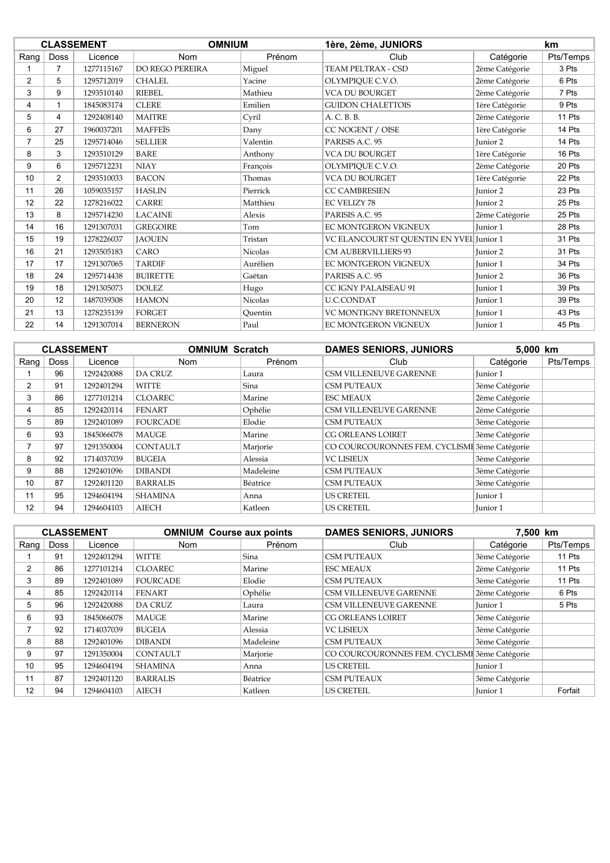|                 |                | <b>CLASSEMENT</b> | <b>OMNIUM</b>   |                | 1ère, 2ème, JUNIORS                      |                 | km        |
|-----------------|----------------|-------------------|-----------------|----------------|------------------------------------------|-----------------|-----------|
| Rang            | <b>Doss</b>    | Licence           | Nom             | Prénom         | Club                                     | Catégorie       | Pts/Temps |
|                 | $\overline{7}$ | 1277115167        | DO REGO PEREIRA | Miguel         | TEAM PELTRAX - CSD                       | 2ème Catégorie  | 3 Pts     |
| $\overline{2}$  | 5              | 1295712019        | <b>CHALEL</b>   | Yacine         | OLYMPIQUE C.V.O.                         | 2ème Catégorie  | 6 Pts     |
| 3               | 9              | 1293510140        | <b>RIEBEL</b>   | Mathieu        | <b>VCA DU BOURGET</b>                    | 2ème Catégorie  | 7 Pts     |
| 4               |                | 1845083174        | <b>CLERE</b>    | Emilien        | <b>GUIDON CHALETTOIS</b>                 | 1ère Catégorie  | 9 Pts     |
| 5               | 4              | 1292408140        | <b>MAITRE</b>   | Cyril          | A. C. B. B.                              | 2ème Catégorie  | 11 Pts    |
| 6               | 27             | 1960037201        | <b>MAFFEÏS</b>  | Dany           | CC NOGENT / OISE                         | 1ère Catégorie  | 14 Pts    |
| $\overline{7}$  | 25             | 1295714046        | <b>SELLIER</b>  | Valentin       | PARISIS A.C. 95                          | <b>Junior 2</b> | 14 Pts    |
| 8               | 3              | 1293510129        | BARE            | Anthony        | VCA DU BOURGET                           | 1ère Catégorie  | 16 Pts    |
| 9               | 6              | 1295712231        | <b>NIAY</b>     | François       | OLYMPIQUE C.V.O.                         | 2ème Catégorie  | 20 Pts    |
| 10 <sup>1</sup> | $\overline{2}$ | 1293510033        | <b>BACON</b>    | Thomas         | <b>VCA DU BOURGET</b>                    | 1ère Catégorie  | 22 Pts    |
| 11              | 26             | 1059035157        | <b>HASLIN</b>   | Pierrick       | <b>CC CAMBRESIEN</b>                     | Junior 2        | 23 Pts    |
| 12              | 22             | 1278216022        | <b>CARRE</b>    | Matthieu       | <b>EC VELIZY 78</b>                      | Junior 2        | 25 Pts    |
| 13              | 8              | 1295714230        | <b>LACAINE</b>  | Alexis         | PARISIS A.C. 95                          | 2ème Catégorie  | 25 Pts    |
| 14              | 16             | 1291307031        | <b>GREGOIRE</b> | Tom            | EC MONTGERON VIGNEUX                     | Junior 1        | 28 Pts    |
| 15              | 19             | 1278226037        | <b>JAOUEN</b>   | Tristan        | VC ELANCOURT ST QUENTIN EN YVEL Junior 1 |                 | 31 Pts    |
| 16              | 21             | 1293505183        | CARO            | <b>Nicolas</b> | <b>CM AUBERVILLIERS 93</b>               | Junior 2        | 31 Pts    |
| 17              | 17             | 1291307065        | <b>TARDIF</b>   | Aurélien       | EC MONTGERON VIGNEUX                     | Junior 1        | 34 Pts    |
| 18              | 24             | 1295714438        | <b>BUIRETTE</b> | Gaëtan         | PARISIS A.C. 95                          | Junior 2        | 36 Pts    |
| 19              | 18             | 1291305073        | <b>DOLEZ</b>    | Hugo           | CC IGNY PALAISEAU 91                     | Junior 1        | 39 Pts    |
| 20              | 12             | 1487039308        | <b>HAMON</b>    | Nicolas        | <b>U.C.CONDAT</b>                        | Junior 1        | 39 Pts    |
| 21              | 13             | 1278235139        | <b>FORGET</b>   | Ouentin        | <b>VC MONTIGNY BRETONNEUX</b>            | Junior 1        | 43 Pts    |
| 22              | 14             | 1291307014        | <b>BERNERON</b> | Paul           | <b>EC MONTGERON VIGNEUX</b>              | Junior 1        | 45 Pts    |

|                          |             | <b>CLASSEMENT</b> | <b>OMNIUM Scratch</b> |           | <b>DAMES SENIORS, JUNIORS</b>                 | 5.000 km       |           |
|--------------------------|-------------|-------------------|-----------------------|-----------|-----------------------------------------------|----------------|-----------|
| Rang                     | <b>Doss</b> | Licence           | <b>Nom</b>            | Prénom    | Club                                          | Catégorie      | Pts/Temps |
|                          | 96          | 1292420088        | <b>DA CRUZ</b>        | Laura     | <b>CSM VILLENEUVE GARENNE</b>                 | Junior 1       |           |
| 2                        | 91          | 1292401294        | WITTE                 | Sina      | <b>CSM PUTEAUX</b>                            | 3ème Catégorie |           |
| 3                        | 86          | 1277101214        | <b>CLOAREC</b>        | Marine    | <b>ESC MEAUX</b>                              | 2ème Catégorie |           |
| 4                        | 85          | 1292420114        | <b>FENART</b>         | Ophélie   | <b>CSM VILLENEUVE GARENNE</b>                 | 2ème Catégorie |           |
| 5                        | 89          | 1292401089        | <b>FOURCADE</b>       | Elodie    | <b>CSM PUTEAUX</b>                            | 3ème Catégorie |           |
| 6                        | 93          | 1845066078        | MAUGE                 | Marine    | <b>CG ORLEANS LOIRET</b>                      | 3ème Catégorie |           |
| $\overline{\phantom{a}}$ | 97          | 1291350004        | <b>CONTAULT</b>       | Marjorie  | CO COURCOURONNES FEM. CYCLISMI 3ème Catégorie |                |           |
| 8                        | 92          | 1714037039        | <b>BUGEIA</b>         | Alessia   | <b>VC LISIEUX</b>                             | 3ème Catégorie |           |
| 9                        | 88          | 1292401096        | <b>DIBANDI</b>        | Madeleine | <b>CSM PUTEAUX</b>                            | 3ème Catégorie |           |
| 10                       | 87          | 1292401120        | <b>BARRALIS</b>       | Béatrice  | <b>CSM PUTEAUX</b>                            | 3ème Catégorie |           |
| 11                       | 95          | 1294604194        | <b>SHAMINA</b>        | Anna      | <b>US CRETEIL</b>                             | Junior 1       |           |
| 12                       | 94          | 1294604103        | <b>AIECH</b>          | Katleen   | <b>US CRETEIL</b>                             | Junior 1       |           |

|                          |             | <b>CLASSEMENT</b> | <b>OMNIUM Course aux points</b> |           | <b>DAMES SENIORS, JUNIORS</b>                 |                | 7.500 km  |  |
|--------------------------|-------------|-------------------|---------------------------------|-----------|-----------------------------------------------|----------------|-----------|--|
| Rang                     | <b>Doss</b> | Licence           | <b>Nom</b>                      | Prénom    | Club                                          | Catégorie      | Pts/Temps |  |
|                          | 91          | 1292401294        | <b>WITTE</b>                    | Sina      | <b>CSM PUTEAUX</b>                            | 3ème Catégorie | 11 Pts    |  |
| 2                        | 86          | 1277101214        | <b>CLOAREC</b>                  | Marine    | <b>ESC MEAUX</b>                              | 2ème Catégorie | 11 Pts    |  |
| 3                        | 89          | 1292401089        | <b>FOURCADE</b>                 | Elodie    | <b>CSM PUTEAUX</b>                            | 3ème Catégorie | 11 Pts    |  |
| 4                        | 85          | 1292420114        | <b>FENART</b>                   | Ophélie   | CSM VILLENEUVE GARENNE                        | 2ème Catégorie | 6 Pts     |  |
| 5                        | 96          | 1292420088        | <b>DA CRUZ</b>                  | Laura     | <b>CSM VILLENEUVE GARENNE</b>                 | Junior 1       | 5 Pts     |  |
| 6                        | 93          | 1845066078        | <b>MAUGE</b>                    | Marine    | <b>CG ORLEANS LOIRET</b>                      | 3ème Catégorie |           |  |
| $\overline{\phantom{a}}$ | 92          | 1714037039        | <b>BUGEIA</b>                   | Alessia   | <b>VC LISIEUX</b>                             | 3ème Catégorie |           |  |
| 8                        | 88          | 1292401096        | <b>DIBANDI</b>                  | Madeleine | <b>CSM PUTEAUX</b>                            | 3ème Catégorie |           |  |
| 9                        | 97          | 1291350004        | <b>CONTAULT</b>                 | Marjorie  | CO COURCOURONNES FEM. CYCLISMI 3ème Catégorie |                |           |  |
| 10                       | 95          | 1294604194        | <b>SHAMINA</b>                  | Anna      | <b>US CRETEIL</b>                             | Junior 1       |           |  |
| 11                       | 87          | 1292401120        | <b>BARRALIS</b>                 | Béatrice  | <b>CSM PUTEAUX</b>                            | 3ème Catégorie |           |  |
| 12                       | 94          | 1294604103        | <b>AIECH</b>                    | Katleen   | <b>US CRETEIL</b>                             | Junior 1       | Forfait   |  |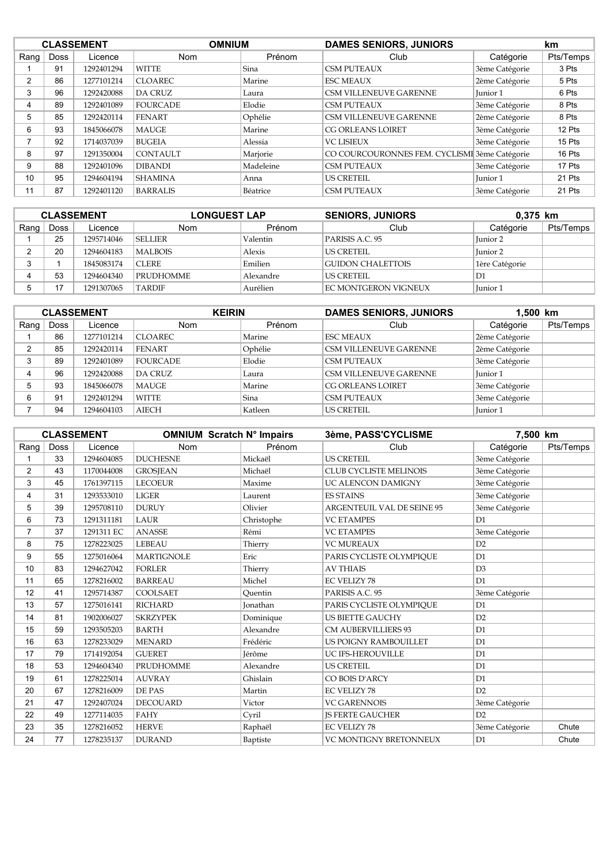|          |             | <b>CLASSEMENT</b> | <b>OMNIUM</b>   |           | <b>DAMES SENIORS, JUNIORS</b>                 |                     | km.       |
|----------|-------------|-------------------|-----------------|-----------|-----------------------------------------------|---------------------|-----------|
| Rang $ $ | <b>Doss</b> | Licence           | Nom             | Prénom    | Club                                          | Catégorie           | Pts/Temps |
|          | 91          | 1292401294        | <b>WITTE</b>    | Sina      | <b>CSM PUTEAUX</b>                            | 3ème Catégorie      | 3 Pts     |
| 2        | 86          | 1277101214        | <b>CLOAREC</b>  | Marine    | <b>ESC MEAUX</b>                              | 2ème Catégorie      | 5 Pts     |
| 3        | 96          | 1292420088        | <b>DA CRUZ</b>  | Laura     | CSM VILLENEUVE GARENNE                        | Iunior 1            | 6 Pts     |
| 4        | 89          | 1292401089        | <b>FOURCADE</b> | Elodie    | <b>CSM PUTEAUX</b>                            | 3ème Catégorie      | 8 Pts     |
| 5        | 85          | 1292420114        | <b>FENART</b>   | Ophélie   | <b>CSM VILLENEUVE GARENNE</b>                 | 2ème Catégorie      | 8 Pts     |
| 6        | 93          | 1845066078        | <b>MAUGE</b>    | Marine    | <b>CG ORLEANS LOIRET</b>                      | 3ème Catégorie      | 12 Pts    |
|          | 92          | 1714037039        | <b>BUGEIA</b>   | Alessia   | <b>VC LISIEUX</b>                             | 3ème Catégorie      | 15 Pts    |
| 8        | 97          | 1291350004        | <b>CONTAULT</b> | Marjorie  | CO COURCOURONNES FEM. CYCLISMI 3ème Catégorie |                     | 16 Pts    |
| 9        | 88          | 1292401096        | <b>DIBANDI</b>  | Madeleine | <b>CSM PUTEAUX</b>                            | 3ème Catégorie      | 17 Pts    |
| 10       | 95          | 1294604194        | <b>SHAMINA</b>  | Anna      | <b>US CRETEIL</b>                             | Iunior <sub>1</sub> | 21 Pts    |
| 11       | 87          | 1292401120        | <b>BARRALIS</b> | Béatrice  | <b>CSM PUTEAUX</b>                            | 3ème Catégorie      | 21 Pts    |

| <b>CLASSEMENT</b> |      |            | <b>LONGUEST LAP</b> |           | <b>SENIORS, JUNIORS</b>     | 0.375 km       |           |
|-------------------|------|------------|---------------------|-----------|-----------------------------|----------------|-----------|
| Rang              | Doss | Licence    | <b>Nom</b>          | Prénom    | Club                        | Catégorie      | Pts/Temps |
|                   | 25   | 1295714046 | <b>SELLIER</b>      | Valentin  | PARISIS A.C. 95             | Junior 2       |           |
|                   | 20   | 1294604183 | <b>MALBOIS</b>      | Alexis    | LUS CRETEIL.                | Iunior 2       |           |
|                   |      | 1845083174 | ICLERE.             | Emilien   | <b>GUIDON CHALETTOIS</b>    | 1ère Catégorie |           |
|                   | 53   | 1294604340 | <b>PRUDHOMME</b>    | Alexandre | <b>US CRETEIL</b>           | D1             |           |
|                   |      | 1291307065 | <b>TARDIF</b>       | Aurélien  | <b>EC MONTGERON VIGNEUX</b> | Junior 1       |           |

| <b>CLASSEMENT</b> |             |            | <b>KEIRIN</b>   |         | <b>DAMES SENIORS, JUNIORS</b> | $1.500$ km     |           |
|-------------------|-------------|------------|-----------------|---------|-------------------------------|----------------|-----------|
| Rang              | <b>Doss</b> | Licence    | <b>Nom</b>      | Prénom  | Club                          | Catégorie      | Pts/Temps |
|                   | 86          | 1277101214 | <b>CLOAREC</b>  | Marine  | <b>ESC MEAUX</b>              | 2ème Catégorie |           |
|                   | 85          | 1292420114 | <b>FENART</b>   | Ophélie | <b>CSM VILLENEUVE GARENNE</b> | 2ème Catégorie |           |
|                   | 89          | 1292401089 | <b>FOURCADE</b> | Elodie  | <b>CSM PUTEAUX</b>            | 3ème Catégorie |           |
| 4                 | 96          | 1292420088 | <b>DA CRUZ</b>  | Laura   | <b>CSM VILLENEUVE GARENNE</b> | Junior 1       |           |
|                   | 93          | 1845066078 | MAUGE           | Marine  | <b>CG ORLEANS LOIRET</b>      | 3ème Catégorie |           |
| 6                 | 91          | 1292401294 | WITTE           | Sina    | <b>CSM PUTEAUX</b>            | 3ème Catégorie |           |
|                   | 94          | 1294604103 | AIECH           | Katleen | <b>US CRETEIL</b>             | Junior 1       |           |

|                |             | <b>CLASSEMENT</b> | <b>OMNIUM Scratch N° Impairs</b> |                 | 3ème, PASS'CYCLISME           | 7,500 km       |           |
|----------------|-------------|-------------------|----------------------------------|-----------------|-------------------------------|----------------|-----------|
| Rang           | <b>Doss</b> | Licence           | <b>Nom</b>                       | Prénom          | Club                          | Catégorie      | Pts/Temps |
|                | 33          | 1294604085        | <b>DUCHESNE</b>                  | Mickaël         | <b>US CRETEIL</b>             | 3ème Catégorie |           |
| $\overline{2}$ | 43          | 1170044008        | <b>GROSJEAN</b>                  | Michaël         | <b>CLUB CYCLISTE MELINOIS</b> | 3ème Catégorie |           |
| 3              | 45          | 1761397115        | <b>LECOEUR</b>                   | Maxime          | <b>UC ALENCON DAMIGNY</b>     | 3ème Catégorie |           |
| 4              | 31          | 1293533010        | <b>LIGER</b>                     | Laurent         | <b>ES STAINS</b>              | 3ème Catégorie |           |
| 5              | 39          | 1295708110        | <b>DURUY</b>                     | Olivier         | ARGENTEUIL VAL DE SEINE 95    | 3ème Catégorie |           |
| 6              | 73          | 1291311181        | LAUR                             | Christophe      | <b>VC ETAMPES</b>             | D1             |           |
| $\overline{7}$ | 37          | 1291311 EC        | <b>ANASSE</b>                    | Rémi            | <b>VC ETAMPES</b>             | 3ème Catégorie |           |
| 8              | 75          | 1278223025        | <b>LEBEAU</b>                    | Thierry         | <b>VC MUREAUX</b>             | D2             |           |
| 9              | 55          | 1275016064        | <b>MARTIGNOLE</b>                | Eric            | PARIS CYCLISTE OLYMPIOUE      | D1             |           |
| 10             | 83          | 1294627042        | <b>FORLER</b>                    | Thierry         | <b>AV THIAIS</b>              | D <sub>3</sub> |           |
| 11             | 65          | 1278216002        | <b>BARREAU</b>                   | Michel          | <b>EC VELIZY 78</b>           | D1             |           |
| 12             | 41          | 1295714387        | <b>COOLSAET</b>                  | Ouentin         | PARISIS A.C. 95               | 3ème Catégorie |           |
| 13             | 57          | 1275016141        | <b>RICHARD</b>                   | <b>Jonathan</b> | PARIS CYCLISTE OLYMPIOUE      | D1             |           |
| 14             | 81          | 1902006027        | <b>SKRZYPEK</b>                  | Dominique       | <b>US BIETTE GAUCHY</b>       | D2             |           |
| 15             | 59          | 1293505203        | <b>BARTH</b>                     | Alexandre       | <b>CM AUBERVILLIERS 93</b>    | D1             |           |
| 16             | 63          | 1278233029        | <b>MENARD</b>                    | Frédéric        | <b>US POIGNY RAMBOUILLET</b>  | D1             |           |
| 17             | 79          | 1714192054        | <b>GUERET</b>                    | Jérôme          | UC IFS-HEROUVILLE             | D <sub>1</sub> |           |
| 18             | 53          | 1294604340        | PRUDHOMME                        | Alexandre       | <b>US CRETEIL</b>             | D1             |           |
| 19             | 61          | 1278225014        | <b>AUVRAY</b>                    | Ghislain        | CO BOIS D'ARCY                | D <sub>1</sub> |           |
| 20             | 67          | 1278216009        | DE PAS                           | Martin          | <b>EC VELIZY 78</b>           | D2             |           |
| 21             | 47          | 1292407024        | <b>DECOUARD</b>                  | Victor          | <b>VC GARENNOIS</b>           | 3ème Catégorie |           |
| 22             | 49          | 1277114035        | <b>FAHY</b>                      | Cyril           | <b>JS FERTE GAUCHER</b>       | D2             |           |
| 23             | 35          | 1278216052        | <b>HERVE</b>                     | Raphaël         | <b>EC VELIZY 78</b>           | 3ème Catégorie | Chute     |
| 24             | 77          | 1278235137        | <b>DURAND</b>                    | Baptiste        | VC MONTIGNY BRETONNEUX        | D1             | Chute     |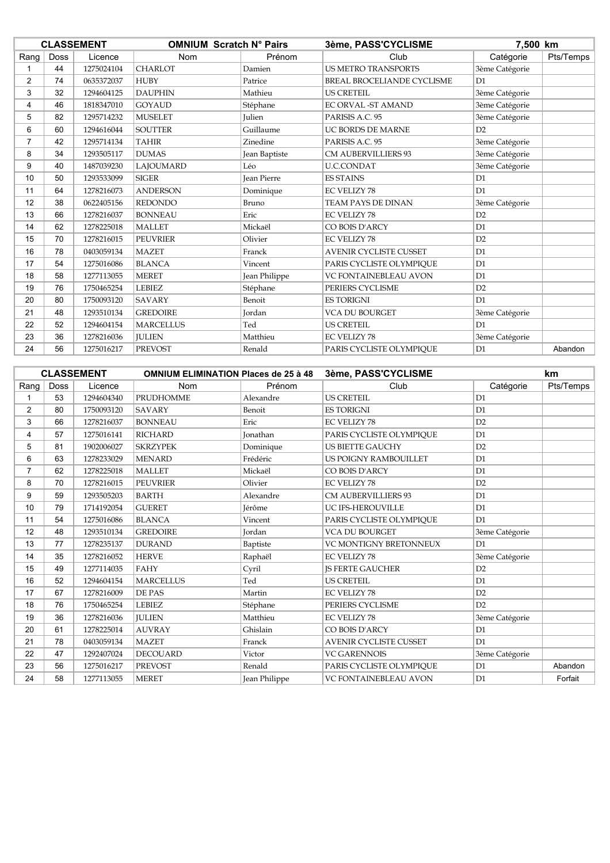| <b>CLASSEMENT</b> |             |            | <b>OMNIUM Scratch N° Pairs</b> |                    | 3ème, PASS'CYCLISME           |                | 7,500 km  |  |
|-------------------|-------------|------------|--------------------------------|--------------------|-------------------------------|----------------|-----------|--|
| Rang              | <b>Doss</b> | Licence    | Nom                            | Prénom             | Club                          | Catégorie      | Pts/Temps |  |
|                   | 44          | 1275024104 | <b>CHARLOT</b>                 | Damien             | <b>US METRO TRANSPORTS</b>    | 3ème Catégorie |           |  |
| 2                 | 74          | 0635372037 | <b>HUBY</b>                    | Patrice            | BREAL BROCELIANDE CYCLISME    | D1             |           |  |
| 3                 | 32          | 1294604125 | <b>DAUPHIN</b>                 | Mathieu            | <b>US CRETEIL</b>             | 3ème Catégorie |           |  |
| 4                 | 46          | 1818347010 | <b>GOYAUD</b>                  | Stéphane           | EC ORVAL -ST AMAND            | 3ème Catégorie |           |  |
| 5                 | 82          | 1295714232 | <b>MUSELET</b>                 | <b>Julien</b>      | PARISIS A.C. 95               | 3ème Catégorie |           |  |
| 6                 | 60          | 1294616044 | <b>SOUTTER</b>                 | Guillaume          | UC BORDS DE MARNE             | D2             |           |  |
| $\overline{7}$    | 42          | 1295714134 | <b>TAHIR</b>                   | Zinedine           | PARISIS A.C. 95               | 3ème Catégorie |           |  |
| 8                 | 34          | 1293505117 | <b>DUMAS</b>                   | Jean Baptiste      | <b>CM AUBERVILLIERS 93</b>    | 3ème Catégorie |           |  |
| 9                 | 40          | 1487039230 | LAJOUMARD                      | Léo                | <b>U.C.CONDAT</b>             | 3ème Catégorie |           |  |
| 10                | 50          | 1293533099 | <b>SIGER</b>                   | <b>Jean Pierre</b> | <b>ES STAINS</b>              | D1             |           |  |
| 11                | 64          | 1278216073 | <b>ANDERSON</b>                | Dominique          | <b>EC VELIZY 78</b>           | D1             |           |  |
| 12                | 38          | 0622405156 | <b>REDONDO</b>                 | Bruno              | <b>TEAM PAYS DE DINAN</b>     | 3ème Catégorie |           |  |
| 13                | 66          | 1278216037 | <b>BONNEAU</b>                 | Eric               | <b>EC VELIZY 78</b>           | D2             |           |  |
| 14                | 62          | 1278225018 | <b>MALLET</b>                  | Mickaël            | CO BOIS D'ARCY                | D1             |           |  |
| 15                | 70          | 1278216015 | <b>PEUVRIER</b>                | Olivier            | <b>EC VELIZY 78</b>           | D2             |           |  |
| 16                | 78          | 0403059134 | <b>MAZET</b>                   | Franck             | <b>AVENIR CYCLISTE CUSSET</b> | D1             |           |  |
| 17                | 54          | 1275016086 | <b>BLANCA</b>                  | Vincent            | PARIS CYCLISTE OLYMPIOUE      | D1             |           |  |
| 18                | 58          | 1277113055 | <b>MERET</b>                   | Jean Philippe      | <b>VC FONTAINEBLEAU AVON</b>  | D1             |           |  |
| 19                | 76          | 1750465254 | <b>LEBIEZ</b>                  | Stéphane           | PERIERS CYCLISME              | D2             |           |  |
| 20                | 80          | 1750093120 | <b>SAVARY</b>                  | Benoit             | <b>ES TORIGNI</b>             | D <sub>1</sub> |           |  |
| 21                | 48          | 1293510134 | <b>GREDOIRE</b>                | Jordan             | <b>VCA DU BOURGET</b>         | 3ème Catégorie |           |  |
| 22                | 52          | 1294604154 | <b>MARCELLUS</b>               | Ted                | <b>US CRETEIL</b>             | D <sub>1</sub> |           |  |
| 23                | 36          | 1278216036 | <b>JULIEN</b>                  | Matthieu           | EC VELIZY 78                  | 3ème Catégorie |           |  |
| 24                | 56          | 1275016217 | <b>PREVOST</b>                 | Renald             | PARIS CYCLISTE OLYMPIOUE      | D1             | Abandon   |  |

|                |             | <b>CLASSEMENT</b> | <b>OMNIUM ELIMINATION Places de 25 à 48</b> |                 | 3ème, PASS'CYCLISME           |                | km        |
|----------------|-------------|-------------------|---------------------------------------------|-----------------|-------------------------------|----------------|-----------|
| Rang           | <b>Doss</b> | Licence           | <b>Nom</b>                                  | Prénom          | Club                          | Catégorie      | Pts/Temps |
|                | 53          | 1294604340        | <b>PRUDHOMME</b>                            | Alexandre       | <b>US CRETEIL</b>             | D1             |           |
| $\overline{2}$ | 80          | 1750093120        | <b>SAVARY</b>                               | Benoit          | <b>ES TORIGNI</b>             | D1             |           |
| 3              | 66          | 1278216037        | <b>BONNEAU</b>                              | Eric            | <b>EC VELIZY 78</b>           | D2             |           |
| 4              | 57          | 1275016141        | <b>RICHARD</b>                              | <b>Jonathan</b> | PARIS CYCLISTE OLYMPIOUE      | D1             |           |
| 5              | 81          | 1902006027        | <b>SKRZYPEK</b>                             | Dominique       | <b>US BIETTE GAUCHY</b>       | D2             |           |
| 6              | 63          | 1278233029        | <b>MENARD</b>                               | Frédéric        | US POIGNY RAMBOUILLET         | D1             |           |
| $\overline{7}$ | 62          | 1278225018        | <b>MALLET</b>                               | Mickaël         | CO BOIS D'ARCY                | D1             |           |
| 8              | 70          | 1278216015        | <b>PEUVRIER</b>                             | Olivier         | <b>EC VELIZY 78</b>           | D2             |           |
| 9              | 59          | 1293505203        | <b>BARTH</b>                                | Alexandre       | <b>CM AUBERVILLIERS 93</b>    | D1             |           |
| 10             | 79          | 1714192054        | <b>GUERET</b>                               | Jérôme          | UC IFS-HEROUVILLE             | D1             |           |
| 11             | 54          | 1275016086        | <b>BLANCA</b>                               | Vincent         | PARIS CYCLISTE OLYMPIOUE      | D1             |           |
| 12             | 48          | 1293510134        | <b>GREDOIRE</b>                             | <b>Jordan</b>   | <b>VCA DU BOURGET</b>         | 3ème Catégorie |           |
| 13             | 77          | 1278235137        | <b>DURAND</b>                               | Baptiste        | VC MONTIGNY BRETONNEUX        | D1             |           |
| 14             | 35          | 1278216052        | <b>HERVE</b>                                | Raphaël         | <b>EC VELIZY 78</b>           | 3ème Catégorie |           |
| 15             | 49          | 1277114035        | <b>FAHY</b>                                 | Cyril           | <b>IS FERTE GAUCHER</b>       | D2             |           |
| 16             | 52          | 1294604154        | <b>MARCELLUS</b>                            | Ted             | <b>US CRETEIL</b>             | D1             |           |
| 17             | 67          | 1278216009        | DE PAS                                      | Martin          | <b>EC VELIZY 78</b>           | D2             |           |
| 18             | 76          | 1750465254        | <b>LEBIEZ</b>                               | Stéphane        | PERIERS CYCLISME              | D2             |           |
| 19             | 36          | 1278216036        | <b>JULIEN</b>                               | Matthieu        | <b>EC VELIZY 78</b>           | 3ème Catégorie |           |
| 20             | 61          | 1278225014        | <b>AUVRAY</b>                               | Ghislain        | CO BOIS D'ARCY                | D1             |           |
| 21             | 78          | 0403059134        | <b>MAZET</b>                                | Franck          | <b>AVENIR CYCLISTE CUSSET</b> | D1             |           |
| 22             | 47          | 1292407024        | <b>DECOUARD</b>                             | Victor          | <b>VC GARENNOIS</b>           | 3ème Catégorie |           |
| 23             | 56          | 1275016217        | <b>PREVOST</b>                              | Renald          | PARIS CYCLISTE OLYMPIOUE      | D1             | Abandon   |
| 24             | 58          | 1277113055        | <b>MERET</b>                                | Jean Philippe   | VC FONTAINEBLEAU AVON         | D1             | Forfait   |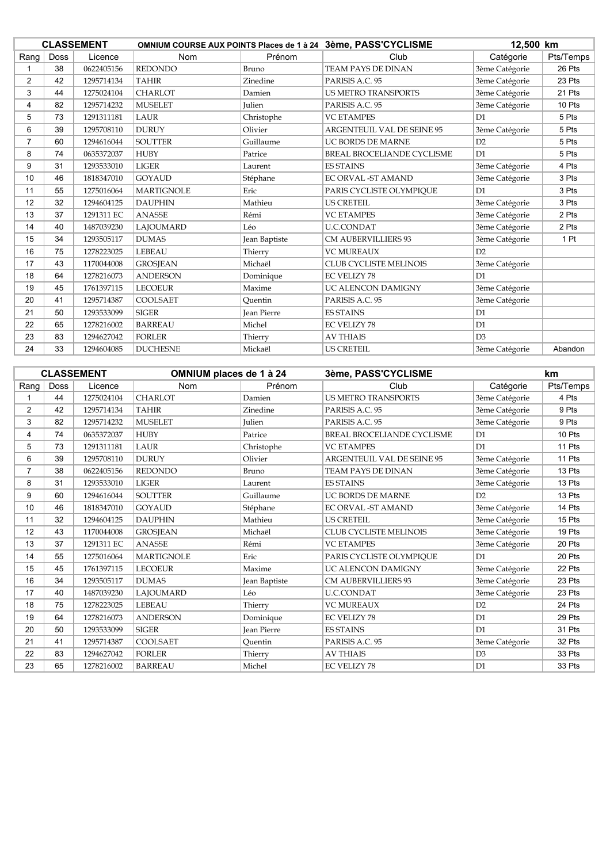| <b>CLASSEMENT</b> |      |            | OMNIUM COURSE AUX POINTS Places de 1 à 24 3ème, PASS'CYCLISME |                    | 12,500 km                         |                |           |
|-------------------|------|------------|---------------------------------------------------------------|--------------------|-----------------------------------|----------------|-----------|
| Rang              | Doss | Licence    | <b>Nom</b>                                                    | Prénom             | Club                              | Catégorie      | Pts/Temps |
|                   | 38   | 0622405156 | <b>REDONDO</b>                                                | Bruno              | <b>TEAM PAYS DE DINAN</b>         | 3ème Catégorie | 26 Pts    |
| 2                 | 42   | 1295714134 | <b>TAHIR</b>                                                  | Zinedine           | PARISIS A.C. 95                   | 3ème Catégorie | 23 Pts    |
| 3                 | 44   | 1275024104 | <b>CHARLOT</b>                                                | Damien             | <b>US METRO TRANSPORTS</b>        | 3ème Catégorie | 21 Pts    |
| 4                 | 82   | 1295714232 | <b>MUSELET</b>                                                | <b>Julien</b>      | PARISIS A.C. 95                   | 3ème Catégorie | 10 Pts    |
| 5                 | 73   | 1291311181 | LAUR                                                          | Christophe         | <b>VC ETAMPES</b>                 | D1             | 5 Pts     |
| 6                 | 39   | 1295708110 | <b>DURUY</b>                                                  | Olivier            | <b>ARGENTEUIL VAL DE SEINE 95</b> | 3ème Catégorie | 5 Pts     |
| $\overline{7}$    | 60   | 1294616044 | <b>SOUTTER</b>                                                | Guillaume          | <b>UC BORDS DE MARNE</b>          | D2             | 5 Pts     |
| 8                 | 74   | 0635372037 | <b>HUBY</b>                                                   | Patrice            | BREAL BROCELIANDE CYCLISME        | D1             | 5 Pts     |
| 9                 | 31   | 1293533010 | <b>LIGER</b>                                                  | Laurent            | <b>ES STAINS</b>                  | 3ème Catégorie | 4 Pts     |
| 10                | 46   | 1818347010 | <b>GOYAUD</b>                                                 | Stéphane           | EC ORVAL -ST AMAND                | 3ème Catégorie | 3 Pts     |
| 11                | 55   | 1275016064 | <b>MARTIGNOLE</b>                                             | Eric               | PARIS CYCLISTE OLYMPIOUE          | D1             | 3 Pts     |
| 12                | 32   | 1294604125 | <b>DAUPHIN</b>                                                | Mathieu            | <b>US CRETEIL</b>                 | 3ème Catégorie | 3 Pts     |
| 13                | 37   | 1291311 EC | <b>ANASSE</b>                                                 | Rémi               | <b>VC ETAMPES</b>                 | 3ème Catégorie | 2 Pts     |
| 14                | 40   | 1487039230 | <b>LAJOUMARD</b>                                              | Léo                | <b>U.C.CONDAT</b>                 | 3ème Catégorie | 2 Pts     |
| 15                | 34   | 1293505117 | <b>DUMAS</b>                                                  | Jean Baptiste      | <b>CM AUBERVILLIERS 93</b>        | 3ème Catégorie | 1 Pt      |
| 16                | 75   | 1278223025 | LEBEAU                                                        | Thierry            | <b>VC MUREAUX</b>                 | D2             |           |
| 17                | 43   | 1170044008 | <b>GROSJEAN</b>                                               | Michaël            | CLUB CYCLISTE MELINOIS            | 3ème Catégorie |           |
| 18                | 64   | 1278216073 | <b>ANDERSON</b>                                               | Dominique          | <b>EC VELIZY 78</b>               | D1             |           |
| 19                | 45   | 1761397115 | <b>LECOEUR</b>                                                | Maxime             | UC ALENCON DAMIGNY                | 3ème Catégorie |           |
| 20                | 41   | 1295714387 | <b>COOLSAET</b>                                               | Ouentin            | PARISIS A.C. 95                   | 3ème Catégorie |           |
| 21                | 50   | 1293533099 | <b>SIGER</b>                                                  | <b>Jean Pierre</b> | <b>ES STAINS</b>                  | D1             |           |
| 22                | 65   | 1278216002 | <b>BARREAU</b>                                                | Michel             | <b>EC VELIZY 78</b>               | D1             |           |
| 23                | 83   | 1294627042 | <b>FORLER</b>                                                 | Thierry            | <b>AV THIAIS</b>                  | D3             |           |
| 24                | 33   | 1294604085 | <b>DUCHESNE</b>                                               | Mickaël            | <b>US CRETEIL</b>                 | 3ème Catégorie | Abandon   |

| <b>CLASSEMENT</b> |      |            | OMNIUM places de 1 à 24 |                    | 3ème, PASS'CYCLISME               |                | km        |
|-------------------|------|------------|-------------------------|--------------------|-----------------------------------|----------------|-----------|
| Rang              | Doss | Licence    | Nom                     | Prénom             | Club                              | Catégorie      | Pts/Temps |
|                   | 44   | 1275024104 | <b>CHARLOT</b>          | Damien             | <b>US METRO TRANSPORTS</b>        | 3ème Catégorie | 4 Pts     |
| $\overline{2}$    | 42   | 1295714134 | <b>TAHIR</b>            | Zinedine           | PARISIS A.C. 95                   | 3ème Catégorie | 9 Pts     |
| 3                 | 82   | 1295714232 | <b>MUSELET</b>          | <b>Julien</b>      | PARISIS A.C. 95                   | 3ème Catégorie | 9 Pts     |
| 4                 | 74   | 0635372037 | <b>HUBY</b>             | Patrice            | <b>BREAL BROCELIANDE CYCLISME</b> | D1             | 10 Pts    |
| 5                 | 73   | 1291311181 | LAUR                    | Christophe         | <b>VC ETAMPES</b>                 | D1             | 11 Pts    |
| 6                 | 39   | 1295708110 | <b>DURUY</b>            | Olivier            | <b>ARGENTEUIL VAL DE SEINE 95</b> | 3ème Catégorie | 11 Pts    |
| $\overline{7}$    | 38   | 0622405156 | <b>REDONDO</b>          | Bruno              | <b>TEAM PAYS DE DINAN</b>         | 3ème Catégorie | 13 Pts    |
| 8                 | 31   | 1293533010 | <b>LIGER</b>            | Laurent            | <b>ES STAINS</b>                  | 3ème Catégorie | 13 Pts    |
| 9                 | 60   | 1294616044 | <b>SOUTTER</b>          | Guillaume          | <b>UC BORDS DE MARNE</b>          | D2             | 13 Pts    |
| 10 <sup>°</sup>   | 46   | 1818347010 | <b>GOYAUD</b>           | Stéphane           | EC ORVAL -ST AMAND                | 3ème Catégorie | 14 Pts    |
| 11                | 32   | 1294604125 | <b>DAUPHIN</b>          | Mathieu            | <b>US CRETEIL</b>                 | 3ème Catégorie | 15 Pts    |
| 12                | 43   | 1170044008 | <b>GROSJEAN</b>         | Michaël            | CLUB CYCLISTE MELINOIS            | 3ème Catégorie | 19 Pts    |
| 13                | 37   | 1291311 EC | <b>ANASSE</b>           | Rémi               | <b>VC ETAMPES</b>                 | 3ème Catégorie | 20 Pts    |
| 14                | 55   | 1275016064 | <b>MARTIGNOLE</b>       | Eric               | PARIS CYCLISTE OLYMPIQUE          | D1             | 20 Pts    |
| 15                | 45   | 1761397115 | <b>LECOEUR</b>          | Maxime             | <b>UC ALENCON DAMIGNY</b>         | 3ème Catégorie | 22 Pts    |
| 16                | 34   | 1293505117 | <b>DUMAS</b>            | Jean Baptiste      | <b>CM AUBERVILLIERS 93</b>        | 3ème Catégorie | 23 Pts    |
| 17                | 40   | 1487039230 | LAJOUMARD               | Léo                | <b>U.C.CONDAT</b>                 | 3ème Catégorie | 23 Pts    |
| 18                | 75   | 1278223025 | <b>LEBEAU</b>           | Thierry            | <b>VC MUREAUX</b>                 | D2             | 24 Pts    |
| 19                | 64   | 1278216073 | <b>ANDERSON</b>         | Dominique          | <b>EC VELIZY 78</b>               | D <sub>1</sub> | 29 Pts    |
| 20                | 50   | 1293533099 | <b>SIGER</b>            | <b>Jean Pierre</b> | <b>ES STAINS</b>                  | D1             | 31 Pts    |
| 21                | 41   | 1295714387 | COOLSAET                | Ouentin            | PARISIS A.C. 95                   | 3ème Catégorie | 32 Pts    |
| 22                | 83   | 1294627042 | <b>FORLER</b>           | Thierry            | <b>AV THIAIS</b>                  | D <sub>3</sub> | 33 Pts    |
| 23                | 65   | 1278216002 | <b>BARREAU</b>          | Michel             | <b>EC VELIZY 78</b>               | D1             | 33 Pts    |